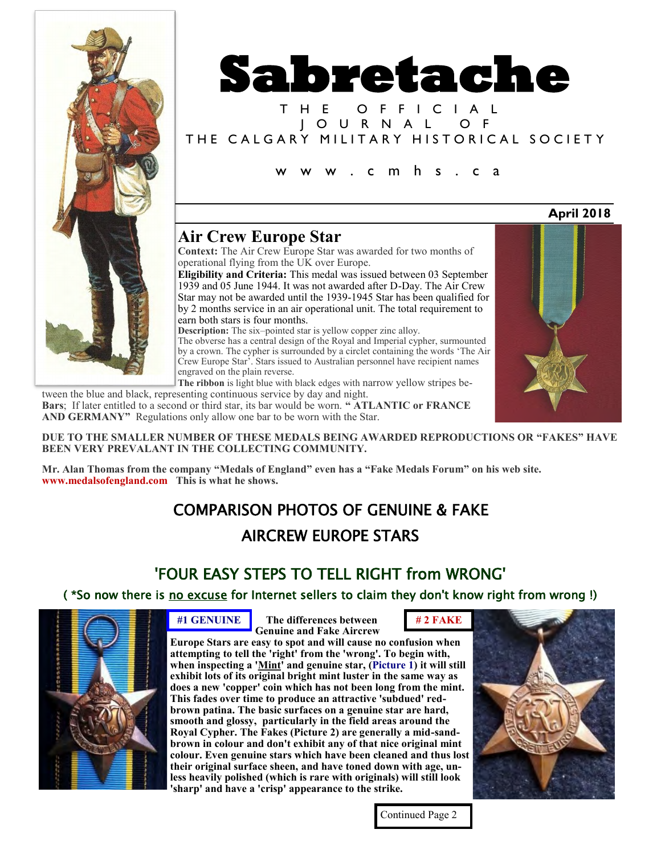



T H E O F F I C I A L J O U R N A L O F THE CALGARY MILITARY HISTORICAL SOCIETY

w w w . c m h s . c a

### **Air Crew Europe Star**

**Context:** The Air Crew Europe Star was awarded for two months of operational flying from the UK over Europe.

**Eligibility and Criteria:** This medal was issued between 03 September 1939 and 05 June 1944. It was not awarded after D-Day. The Air Crew Star may not be awarded until the 1939-1945 Star has been qualified for by 2 months service in an air operational unit. The total requirement to earn both stars is four months.

**Description:** The six–pointed star is yellow copper zinc alloy.

The obverse has a central design of the Royal and Imperial cypher, surmounted by a crown. The cypher is surrounded by a circlet containing the words 'The Air Crew Europe Star'. Stars issued to Australian personnel have recipient names engraved on the plain reverse.

**The ribbon** is light blue with black edges with narrow yellow stripes between the blue and black, representing continuous service by day and night.

**Bars**; If later entitled to a second or third star, its bar would be worn. **" ATLANTIC or FRANCE AND GERMANY"** Regulations only allow one bar to be worn with the Star.

**April 2018**

**DUE TO THE SMALLER NUMBER OF THESE MEDALS BEING AWARDED REPRODUCTIONS OR "FAKES" HAVE BEEN VERY PREVALANT IN THE COLLECTING COMMUNITY.**

**Mr. Alan Thomas from the company "Medals of England" even has a "Fake Medals Forum" on his web site. www.medalsofengland.com This is what he shows.** 

# COMPARISON PHOTOS OF GENUINE & FAKE AIRCREW EUROPE STARS

# 'FOUR EASY STEPS TO TELL RIGHT from WRONG'

( \*So now there is no excuse for Internet sellers to claim they don't know right from wrong !)



 **The differences between #1 GENUINE # 2 FAKE Genuine and Fake Aircrew** 

**Europe Stars are easy to spot and will cause no confusion when attempting to tell the 'right' from the 'wrong'. To begin with, when inspecting a 'Mint' and genuine star, (Picture 1) it will still exhibit lots of its original bright mint luster in the same way as does a new 'copper' coin which has not been long from the mint. This fades over time to produce an attractive 'subdued' redbrown patina. The basic surfaces on a genuine star are hard, smooth and glossy, particularly in the field areas around the Royal Cypher. The Fakes (Picture 2) are generally a mid-sandbrown in colour and don't exhibit any of that nice original mint colour. Even genuine stars which have been cleaned and thus lost their original surface sheen, and have toned down with age, unless heavily polished (which is rare with originals) will still look 'sharp' and have a 'crisp' appearance to the strike.**



Continued Page 2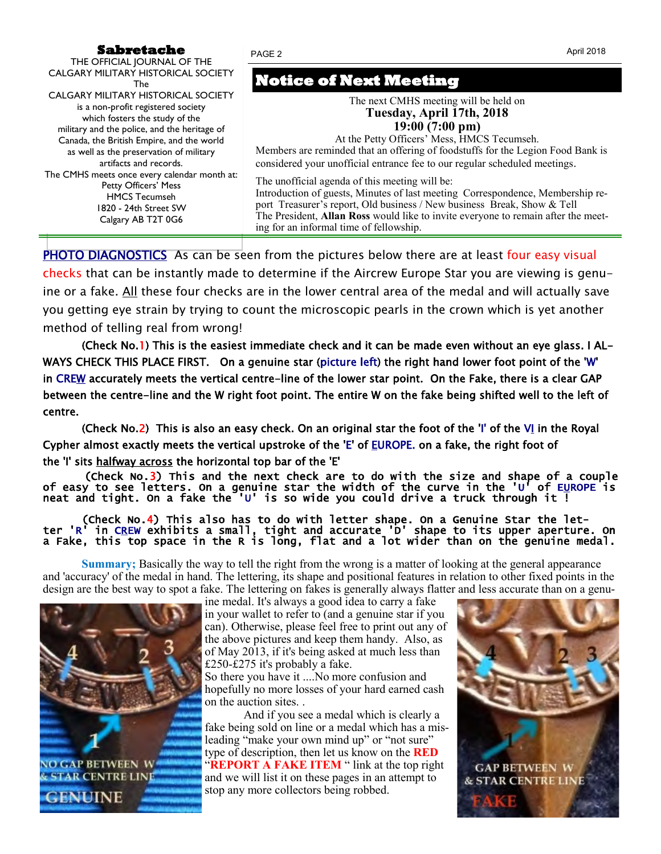#### **Sabretache**

| Sabretache                                                                                                                                                                                                                                                                                                                                                                                                                                                                                                              | April 2018<br>PAGE 2                                                                                                                                                                                                                                                                                                                                                                                                                                                                                         |  |
|-------------------------------------------------------------------------------------------------------------------------------------------------------------------------------------------------------------------------------------------------------------------------------------------------------------------------------------------------------------------------------------------------------------------------------------------------------------------------------------------------------------------------|--------------------------------------------------------------------------------------------------------------------------------------------------------------------------------------------------------------------------------------------------------------------------------------------------------------------------------------------------------------------------------------------------------------------------------------------------------------------------------------------------------------|--|
| THE OFFICIAL JOURNAL OF THE<br><b>CALGARY MILITARY HISTORICAL SOCIETY</b><br>The<br><b>CALGARY MILITARY HISTORICAL SOCIETY</b><br>is a non-profit registered society<br>which fosters the study of the<br>military and the police, and the heritage of<br>Canada, the British Empire, and the world<br>as well as the preservation of military<br>artifacts and records.<br>The CMHS meets once every calendar month at:<br>Petty Officers' Mess<br><b>HMCS Tecumseh</b><br>1820 - 24th Street SW<br>Calgary AB T2T 0G6 | <b>Notice of Next Meeting</b><br>The next CMHS meeting will be held on<br>Tuesday, April 17th, 2018<br>$19:00(7:00 \text{ pm})$<br>At the Petty Officers' Mess, HMCS Tecumseh.                                                                                                                                                                                                                                                                                                                               |  |
|                                                                                                                                                                                                                                                                                                                                                                                                                                                                                                                         | Members are reminded that an offering of foodstuffs for the Legion Food Bank is<br>considered your unofficial entrance fee to our regular scheduled meetings.<br>The unofficial agenda of this meeting will be:<br>Introduction of guests, Minutes of last meeting Correspondence, Membership re-<br>port Treasurer's report, Old business / New business Break, Show & Tell<br>The President, Allan Ross would like to invite everyone to remain after the meet-<br>ing for an informal time of fellowship. |  |
|                                                                                                                                                                                                                                                                                                                                                                                                                                                                                                                         |                                                                                                                                                                                                                                                                                                                                                                                                                                                                                                              |  |

PHOTO DIAGNOSTICS As can be seen from the pictures below there are at least four easy visual checks that can be instantly made to determine if the Aircrew Europe Star you are viewing is genuine or a fake. All these four checks are in the lower central area of the medal and will actually save you getting eye strain by trying to count the microscopic pearls in the crown which is yet another method of telling real from wrong!

(Check No.1) This is the easiest immediate check and it can be made even without an eye glass. I AL-WAYS CHECK THIS PLACE FIRST. On a genuine star (picture left) the right hand lower foot point of the 'W' in CREW accurately meets the vertical centre-line of the lower star point. On the Fake, there is a clear GAP between the centre-line and the W right foot point. The entire W on the fake being shifted well to the left of centre.

(Check No.2) This is also an easy check. On an original star the foot of the 'I' of the  $V<sub>1</sub>$  in the Royal Cypher almost exactly meets the vertical upstroke of the 'E' of EUROPE. on a fake, the right foot of the 'I' sits halfway across the horizontal top bar of the 'E'

(Check No.3) This and the next check are to do with the size and shape of a couple of easy to see letters. On a genuine star the width of the curve in the 'U' of E<u>U</u>ROPE is neat and tight. On a fake the 'U' is so wide you could drive a truck through it !

 (Check No.4) This also has to do with letter shape. On a Genuine Star the letter 'R' in C<u>R</u>EW exhibits a small, tight and accurate 'D' shape to its upper aperture. On a Fake, this top space in the R is long, flat and a lot wider than on the genuine medal.

**Summary;** Basically the way to tell the right from the wrong is a matter of looking at the general appearance and 'accuracy' of the medal in hand. The lettering, its shape and positional features in relation to other fixed points in the design are the best way to spot a fake. The lettering on fakes is generally always flatter and less accurate than on a genu-



ine medal. It's always a good idea to carry a fake in your wallet to refer to (and a genuine star if you can). Otherwise, please feel free to print out any of the above pictures and keep them handy. Also, as of May 2013, if it's being asked at much less than £250-£275 it's probably a fake.

So there you have it ....No more confusion and hopefully no more losses of your hard earned cash on the auction sites. .

And if you see a medal which is clearly a fake being sold on line or a medal which has a misleading "make your own mind up" or "not sure" type of description, then let us know on the **RED "REPORT A FAKE ITEM** " link at the top right and we will list it on these pages in an attempt to stop any more collectors being robbed.

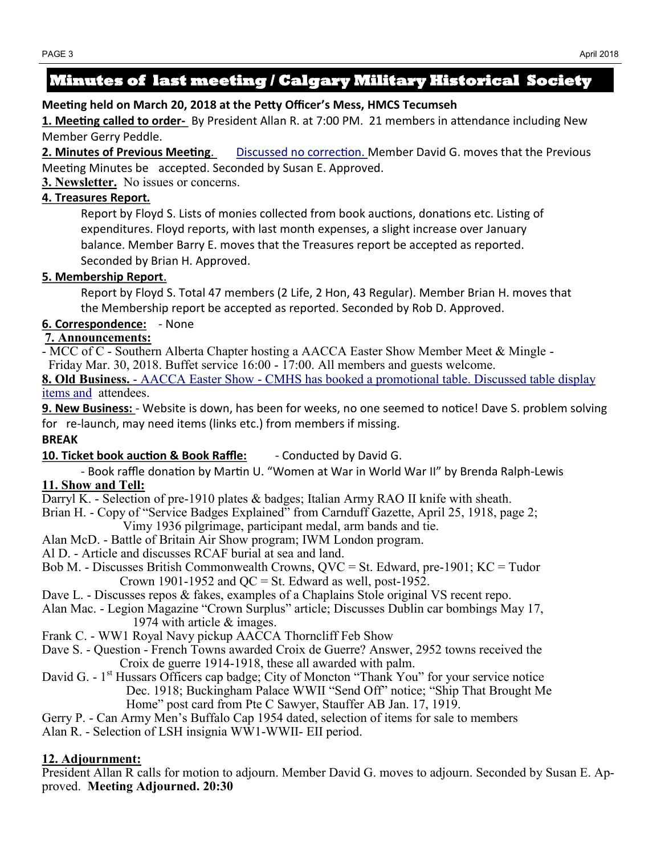## **Minutes of last meeting / Calgary Military Historical Society**

#### **Meeting held on March 20, 2018 at the Petty Officer's Mess, HMCS Tecumseh**

**1. Meeting called to order-** By President Allan R. at 7:00 PM. 21 members in attendance including New Member Gerry Peddle.

**2. Minutes of Previous Meeting**. Discussed no correction. Member David G. moves that the Previous Meeting Minutes be accepted. Seconded by Susan E. Approved.

**3. Newsletter.** No issues or concerns.

#### **4. Treasures Report***.*

Report by Floyd S. Lists of monies collected from book auctions, donations etc. Listing of expenditures. Floyd reports, with last month expenses, a slight increase over January balance. Member Barry E. moves that the Treasures report be accepted as reported. Seconded by Brian H. Approved.

#### **5. Membership Report**.

Report by Floyd S. Total 47 members (2 Life, 2 Hon, 43 Regular). Member Brian H. moves that the Membership report be accepted as reported. Seconded by Rob D. Approved.

**6. Correspondence:** - None

### **7. Announcements:**

- MCC of C - Southern Alberta Chapter hosting a AACCA Easter Show Member Meet & Mingle - Friday Mar. 30, 2018. Buffet service 16:00 - 17:00. All members and guests welcome.

**8. Old Business.** - AACCA Easter Show - CMHS has booked a promotional table. Discussed table display items and attendees.

**9. New Business:** - Website is down, has been for weeks, no one seemed to notice! Dave S. problem solving for re-launch, may need items (links etc.) from members if missing.

### **BREAK**

**10. Ticket book auction & Book Raffle:** - Conducted by David G.

- Book raffle donation by Martin U. "Women at War in World War II" by Brenda Ralph-Lewis **11. Show and Tell:**

Darryl K. - Selection of pre-1910 plates & badges; Italian Army RAO II knife with sheath.

Brian H. - Copy of "Service Badges Explained" from Carnduff Gazette, April 25, 1918, page 2;

Vimy 1936 pilgrimage, participant medal, arm bands and tie.

- Alan McD. Battle of Britain Air Show program; IWM London program.
- Al D. Article and discusses RCAF burial at sea and land.
- Bob M. Discusses British Commonwealth Crowns,  $QVC = St$ . Edward, pre-1901;  $KC = Tudor$ Crown 1901-1952 and  $QC = St$ . Edward as well, post-1952.
- Dave L. Discusses repos & fakes, examples of a Chaplains Stole original VS recent repo.
- Alan Mac. Legion Magazine "Crown Surplus" article; Discusses Dublin car bombings May 17, 1974 with article & images.
- Frank C. WW1 Royal Navy pickup AACCA Thorncliff Feb Show
- Dave S. Question French Towns awarded Croix de Guerre? Answer, 2952 towns received the Croix de guerre 1914-1918, these all awarded with palm.
- David G. 1<sup>st</sup> Hussars Officers cap badge; City of Moncton "Thank You" for your service notice Dec. 1918; Buckingham Palace WWII "Send Off" notice; "Ship That Brought Me Home" post card from Pte C Sawyer, Stauffer AB Jan. 17, 1919.

Gerry P. - Can Army Men's Buffalo Cap 1954 dated, selection of items for sale to members Alan R. - Selection of LSH insignia WW1-WWII- EII period.

#### **12. Adjournment:**

President Allan R calls for motion to adjourn. Member David G. moves to adjourn. Seconded by Susan E. Approved. **Meeting Adjourned. 20:30**